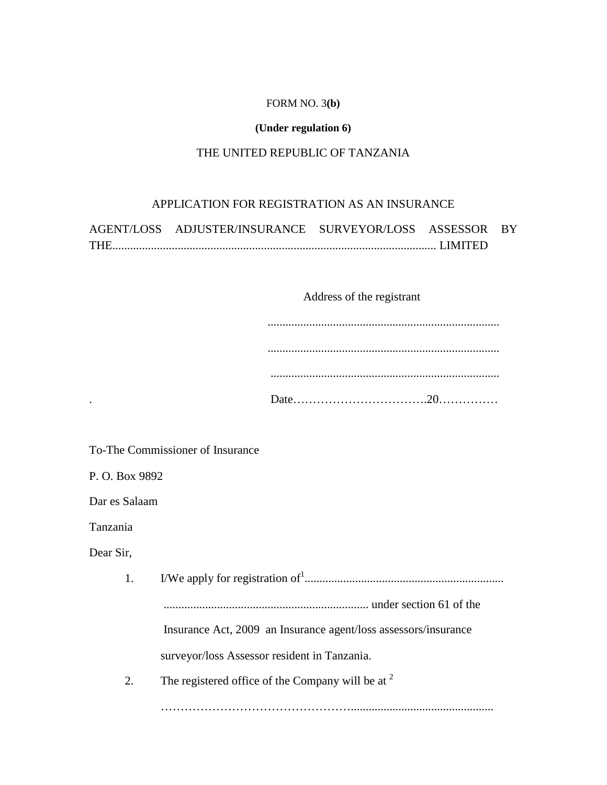#### FORM NO. 3**(b)**

# **(Under regulation 6)**

# THE UNITED REPUBLIC OF TANZANIA

# APPLICATION FOR REGISTRATION AS AN INSURANCE

| AGENT/LOSS ADJUSTER/INSURANCE SURVEYOR/LOSS ASSESSOR BY |  |  |
|---------------------------------------------------------|--|--|
|                                                         |  |  |

# Address of the registrant

| ۰ |  |
|---|--|

To-The Commissioner of Insurance

P. O. Box 9892

Dar es Salaam

Tanzania

Dear Sir,

| Insurance Act, 2009 an Insurance agent/loss assessors/insurance |
|-----------------------------------------------------------------|
| surveyor/loss Assessor resident in Tanzania.                    |
| The registered office of the Company will be at $2^{\circ}$     |
|                                                                 |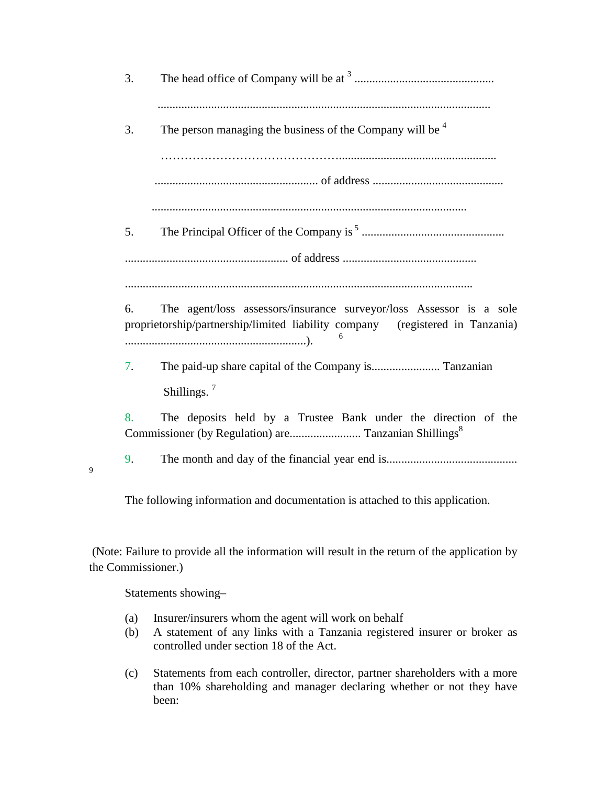|   | 3.                 |                                                                                                                                                      |
|---|--------------------|------------------------------------------------------------------------------------------------------------------------------------------------------|
|   | 3.                 | The person managing the business of the Company will be $4$                                                                                          |
|   |                    |                                                                                                                                                      |
|   | 5.                 |                                                                                                                                                      |
|   |                    |                                                                                                                                                      |
|   | 6.                 | The agent/loss assessors/insurance surveyor/loss Assessor is a sole<br>proprietorship/partnership/limited liability company (registered in Tanzania) |
|   | 7.                 | Shillings. $7$                                                                                                                                       |
|   | 8.                 | The deposits held by a Trustee Bank under the direction of the                                                                                       |
| 9 | 9.                 |                                                                                                                                                      |
|   |                    | The following information and documentation is attached to this application.                                                                         |
|   | the Commissioner.) | (Note: Failure to provide all the information will result in the return of the application by                                                        |

Statements showing–

- (a) Insurer/insurers whom the agent will work on behalf
- (b) A statement of any links with a Tanzania registered insurer or broker as controlled under section 18 of the Act.
- (c) Statements from each controller, director, partner shareholders with a more than 10% shareholding and manager declaring whether or not they have been: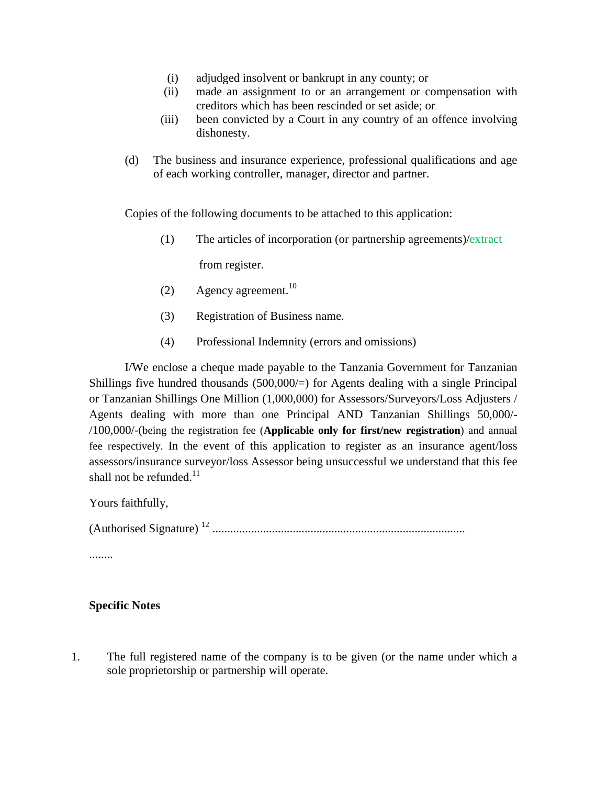- (i) adjudged insolvent or bankrupt in any county; or
- (ii) made an assignment to or an arrangement or compensation with creditors which has been rescinded or set aside; or
- (iii) been convicted by a Court in any country of an offence involving dishonesty.
- (d) The business and insurance experience, professional qualifications and age of each working controller, manager, director and partner.

Copies of the following documents to be attached to this application:

(1) The articles of incorporation (or partnership agreements)/extract

from register.

- (2) Agency agreement.<sup>10</sup>
- (3) Registration of Business name.
- (4) Professional Indemnity (errors and omissions)

I/We enclose a cheque made payable to the Tanzania Government for Tanzanian Shillings five hundred thousands  $(500,000/)=$  for Agents dealing with a single Principal or Tanzanian Shillings One Million (1,000,000) for Assessors/Surveyors/Loss Adjusters / Agents dealing with more than one Principal AND Tanzanian Shillings 50,000/- /100,000/-(being the registration fee (**Applicable only for first/new registration**) and annual fee respectively. In the event of this application to register as an insurance agent/loss assessors/insurance surveyor/loss Assessor being unsuccessful we understand that this fee shall not be refunded. $11$ 

Yours faithfully,

(Authorised Signature) <sup>12</sup> .....................................................................................

........

### **Specific Notes**

1. The full registered name of the company is to be given (or the name under which a sole proprietorship or partnership will operate.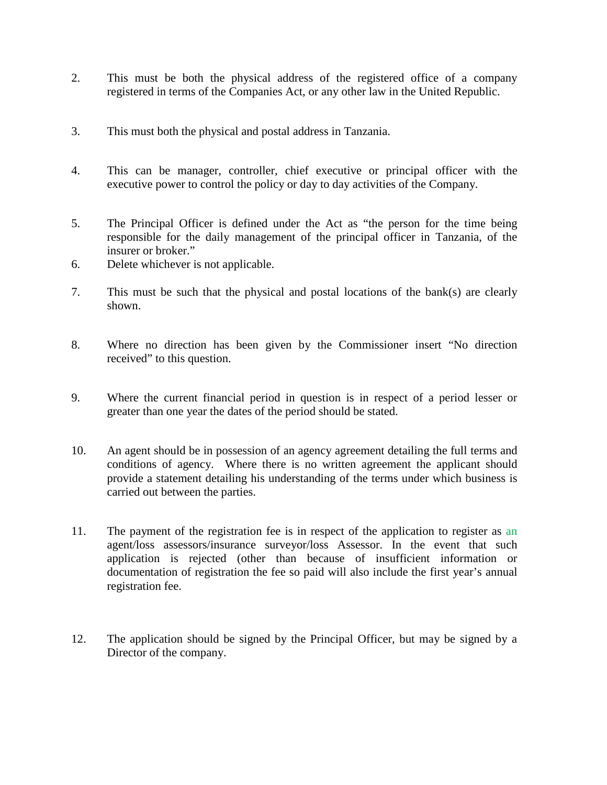- 2. This must be both the physical address of the registered office of a company registered in terms of the Companies Act, or any other law in the United Republic.
- 3. This must both the physical and postal address in Tanzania.
- 4. This can be manager, controller, chief executive or principal officer with the executive power to control the policy or day to day activities of the Company.
- 5. The Principal Officer is defined under the Act as "the person for the time being responsible for the daily management of the principal officer in Tanzania, of the insurer or broker."
- 6. Delete whichever is not applicable.
- 7. This must be such that the physical and postal locations of the bank(s) are clearly shown.
- 8. Where no direction has been given by the Commissioner insert "No direction received" to this question.
- 9. Where the current financial period in question is in respect of a period lesser or greater than one year the dates of the period should be stated.
- 10. An agent should be in possession of an agency agreement detailing the full terms and conditions of agency. Where there is no written agreement the applicant should provide a statement detailing his understanding of the terms under which business is carried out between the parties.
- 11. The payment of the registration fee is in respect of the application to register as an agent/loss assessors/insurance surveyor/loss Assessor. In the event that such application is rejected (other than because of insufficient information or documentation of registration the fee so paid will also include the first year's annual registration fee.
- 12. The application should be signed by the Principal Officer, but may be signed by a Director of the company.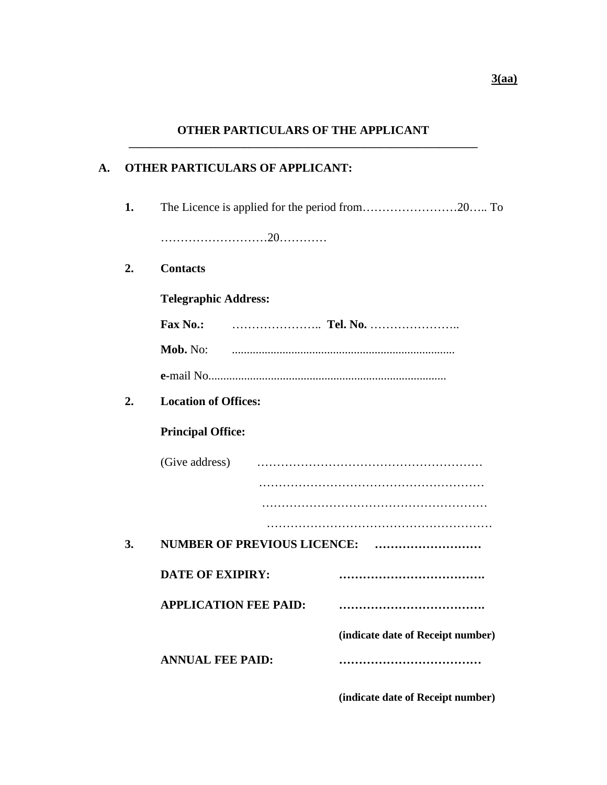# **A. OTHER PARTICULARS OF APPLICANT:**

**1.** The Licence is applied for the period from……………………20….. To ………………………20………… **2. Contacts Telegraphic Address: Fax No.:** ………………….. **Tel. No.** ………………….. **Mob.** No: ........................................................................... **e-**mail No................................................................................ **2. Location of Offices: Principal Office:** (Give address) ………………………………………………… ………………………………………………… ………………………………………………… ………………………………………………… **3. NUMBER OF PREVIOUS LICENCE: ……………………… DATE OF EXIPIRY: ………………………………. APPLICATION FEE PAID: ………………………………. (indicate date of Receipt number) ANNUAL FEE PAID: ………………………………**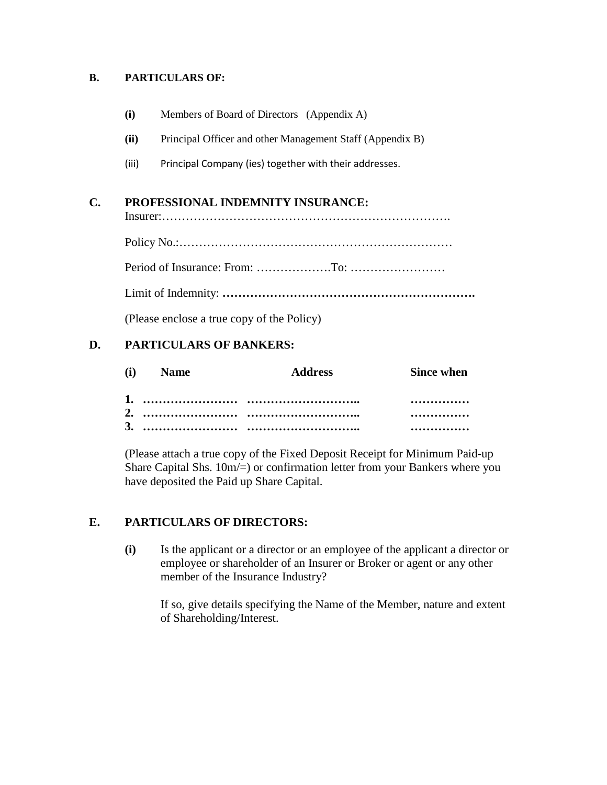### **B. PARTICULARS OF:**

| (i) | Members of Board of Directors (Appendix A) |  |
|-----|--------------------------------------------|--|
|-----|--------------------------------------------|--|

- **(ii)** Principal Officer and other Management Staff (Appendix B)
- (iii) Principal Company (ies) together with their addresses.

## **C. PROFESSIONAL INDEMNITY INSURANCE:**

Insurer:……………………………………………………………….

Policy No.:……………………………………………………………

Period of Insurance: From: ……………….To: ……………………

Limit of Indemnity: **……………………………………………………….**

(Please enclose a true copy of the Policy)

## **D. PARTICULARS OF BANKERS:**

| (i) Name | Address | <b>Since when</b> |
|----------|---------|-------------------|
|          |         |                   |
|          |         |                   |
|          |         | $\cdots$          |

(Please attach a true copy of the Fixed Deposit Receipt for Minimum Paid-up Share Capital Shs. 10m/=) or confirmation letter from your Bankers where you have deposited the Paid up Share Capital.

# **E. PARTICULARS OF DIRECTORS:**

**(i)** Is the applicant or a director or an employee of the applicant a director or employee or shareholder of an Insurer or Broker or agent or any other member of the Insurance Industry?

If so, give details specifying the Name of the Member, nature and extent of Shareholding/Interest.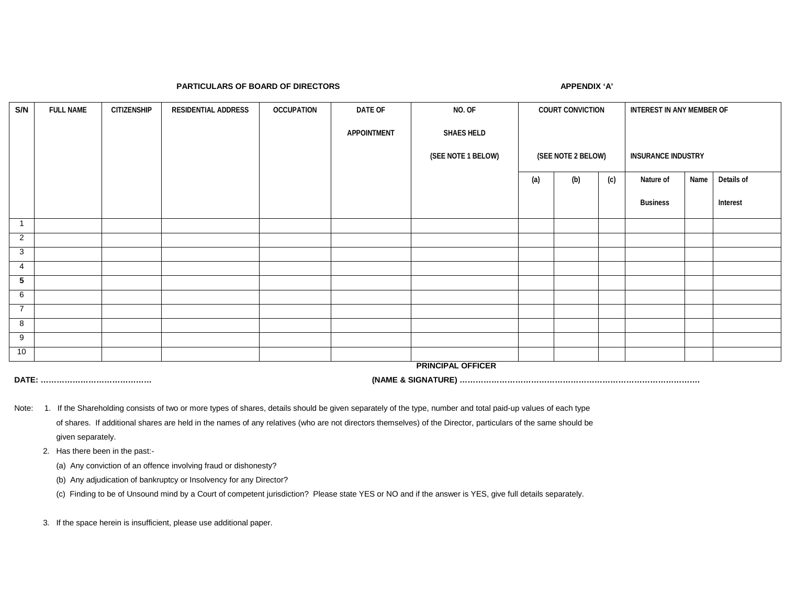#### **PARTICULARS OF BOARD OF DIRECTORS APPENDIX 'A'**

| S/N            | <b>FULL NAME</b> | <b>CITIZENSHIP</b> | RESIDENTIAL ADDRESS | <b>OCCUPATION</b> | DATE OF     | NO. OF                   | <b>COURT CONVICTION</b> |     | INTEREST IN ANY MEMBER OF |                           |      |            |
|----------------|------------------|--------------------|---------------------|-------------------|-------------|--------------------------|-------------------------|-----|---------------------------|---------------------------|------|------------|
|                |                  |                    |                     |                   | APPOINTMENT | <b>SHAES HELD</b>        |                         |     |                           |                           |      |            |
|                |                  |                    |                     |                   |             | (SEE NOTE 1 BELOW)       | (SEE NOTE 2 BELOW)      |     |                           | <b>INSURANCE INDUSTRY</b> |      |            |
|                |                  |                    |                     |                   |             |                          | (a)                     | (b) | (c)                       | Nature of                 | Name | Details of |
|                |                  |                    |                     |                   |             |                          |                         |     |                           | <b>Business</b>           |      | Interest   |
| $\overline{1}$ |                  |                    |                     |                   |             |                          |                         |     |                           |                           |      |            |
| $\overline{2}$ |                  |                    |                     |                   |             |                          |                         |     |                           |                           |      |            |
| 3              |                  |                    |                     |                   |             |                          |                         |     |                           |                           |      |            |
| 4              |                  |                    |                     |                   |             |                          |                         |     |                           |                           |      |            |
| 5              |                  |                    |                     |                   |             |                          |                         |     |                           |                           |      |            |
| 6              |                  |                    |                     |                   |             |                          |                         |     |                           |                           |      |            |
| $\overline{7}$ |                  |                    |                     |                   |             |                          |                         |     |                           |                           |      |            |
| 8              |                  |                    |                     |                   |             |                          |                         |     |                           |                           |      |            |
| 9              |                  |                    |                     |                   |             |                          |                         |     |                           |                           |      |            |
| 10             |                  |                    |                     |                   |             |                          |                         |     |                           |                           |      |            |
|                |                  |                    |                     |                   |             | <b>PRINCIPAL OFFICER</b> |                         |     |                           |                           |      |            |

**DATE: …………………………………… (NAME & SIGNATURE) ……………………………………………………………………………….**

Note: 1. If the Shareholding consists of two or more types of shares, details should be given separately of the type, number and total paid-up values of each type of shares. If additional shares are held in the names of any relatives (who are not directors themselves) of the Director, particulars of the same should be given separately.

2. Has there been in the past:-

(a) Any conviction of an offence involving fraud or dishonesty?

(b) Any adjudication of bankruptcy or Insolvency for any Director?

(c) Finding to be of Unsound mind by a Court of competent jurisdiction? Please state YES or NO and if the answer is YES, give full details separately.

3. If the space herein is insufficient, please use additional paper.